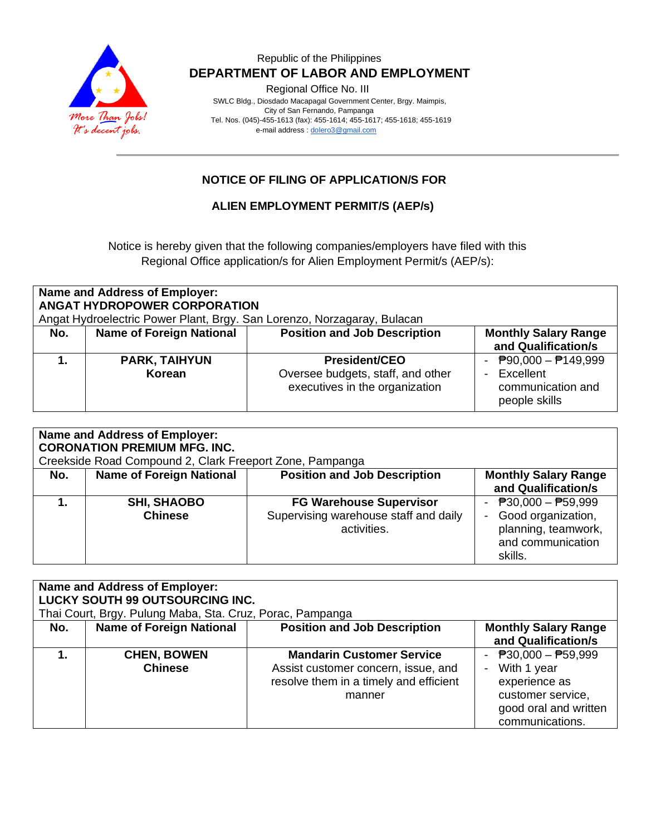

### Republic of the Philippines  **DEPARTMENT OF LABOR AND EMPLOYMENT**

Regional Office No. III

 SWLC Bldg., Diosdado Macapagal Government Center, Brgy. Maimpis, City of San Fernando, Pampanga Tel. Nos. (045)-455-1613 (fax): 455-1614; 455-1617; 455-1618; 455-1619 e-mail address [: dolero3@gmail.com](mailto:dolero3@gmail.com)

## **NOTICE OF FILING OF APPLICATION/S FOR**

#### **ALIEN EMPLOYMENT PERMIT/S (AEP/s)**

Notice is hereby given that the following companies/employers have filed with this Regional Office application/s for Alien Employment Permit/s (AEP/s):

| <b>Name and Address of Employer:</b><br><b>ANGAT HYDROPOWER CORPORATION</b><br>Angat Hydroelectric Power Plant, Brgy. San Lorenzo, Norzagaray, Bulacan |                                 |                                                                                             |                                                                                               |
|--------------------------------------------------------------------------------------------------------------------------------------------------------|---------------------------------|---------------------------------------------------------------------------------------------|-----------------------------------------------------------------------------------------------|
| No.                                                                                                                                                    | <b>Name of Foreign National</b> | <b>Position and Job Description</b>                                                         | <b>Monthly Salary Range</b><br>and Qualification/s                                            |
|                                                                                                                                                        | <b>PARK, TAIHYUN</b><br>Korean  | <b>President/CEO</b><br>Oversee budgets, staff, and other<br>executives in the organization | $\overline{P}90,000 - \overline{P}149,999$<br>Excellent<br>communication and<br>people skills |

| <b>Name and Address of Employer:</b><br><b>CORONATION PREMIUM MFG. INC.</b><br>Creekside Road Compound 2, Clark Freeport Zone, Pampanga |                                      |                                                                                        |                                                                                                      |
|-----------------------------------------------------------------------------------------------------------------------------------------|--------------------------------------|----------------------------------------------------------------------------------------|------------------------------------------------------------------------------------------------------|
| No.                                                                                                                                     | <b>Name of Foreign National</b>      | <b>Position and Job Description</b>                                                    | <b>Monthly Salary Range</b><br>and Qualification/s                                                   |
|                                                                                                                                         | <b>SHI, SHAOBO</b><br><b>Chinese</b> | <b>FG Warehouse Supervisor</b><br>Supervising warehouse staff and daily<br>activities. | - $P30,000 - P59,999$<br>- Good organization,<br>planning, teamwork,<br>and communication<br>skills. |

| <b>Name and Address of Employer:</b><br><b>LUCKY SOUTH 99 OUTSOURCING INC.</b><br>Thai Court, Brgy. Pulung Maba, Sta. Cruz, Porac, Pampanga |                                      |                                                                                                                             |                                                                                                                        |
|---------------------------------------------------------------------------------------------------------------------------------------------|--------------------------------------|-----------------------------------------------------------------------------------------------------------------------------|------------------------------------------------------------------------------------------------------------------------|
| No.                                                                                                                                         | <b>Name of Foreign National</b>      | <b>Position and Job Description</b>                                                                                         | <b>Monthly Salary Range</b><br>and Qualification/s                                                                     |
|                                                                                                                                             | <b>CHEN, BOWEN</b><br><b>Chinese</b> | <b>Mandarin Customer Service</b><br>Assist customer concern, issue, and<br>resolve them in a timely and efficient<br>manner | - $P30,000 - P59,999$<br>With 1 year<br>experience as<br>customer service,<br>good oral and written<br>communications. |